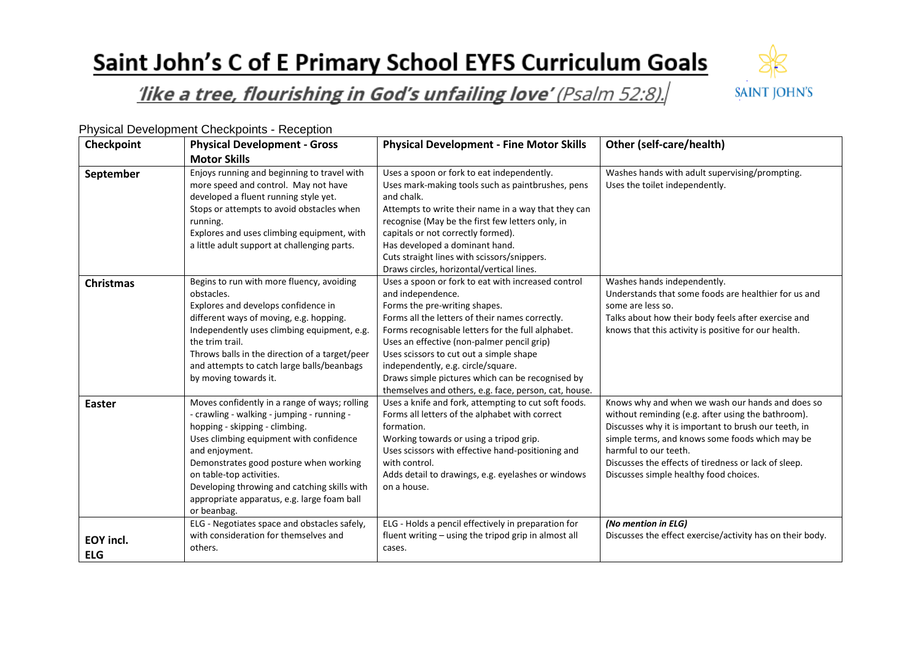## Saint John's C of E Primary School EYFS Curriculum Goals



## like a tree, flourishing in God's unfailing love' (Psalm 52:8).

| Checkpoint                     | <b>Physical Development - Gross</b>                                                                                                                                                                                                                                                                                                                                            | <b>Physical Development - Fine Motor Skills</b>                                                                                                                                                                                                                                                                                                                                                                                                              | Other (self-care/health)                                                                                                                                                                                                                                                                                                                     |
|--------------------------------|--------------------------------------------------------------------------------------------------------------------------------------------------------------------------------------------------------------------------------------------------------------------------------------------------------------------------------------------------------------------------------|--------------------------------------------------------------------------------------------------------------------------------------------------------------------------------------------------------------------------------------------------------------------------------------------------------------------------------------------------------------------------------------------------------------------------------------------------------------|----------------------------------------------------------------------------------------------------------------------------------------------------------------------------------------------------------------------------------------------------------------------------------------------------------------------------------------------|
|                                | <b>Motor Skills</b>                                                                                                                                                                                                                                                                                                                                                            |                                                                                                                                                                                                                                                                                                                                                                                                                                                              |                                                                                                                                                                                                                                                                                                                                              |
| September                      | Enjoys running and beginning to travel with<br>more speed and control. May not have<br>developed a fluent running style yet.<br>Stops or attempts to avoid obstacles when<br>running.<br>Explores and uses climbing equipment, with<br>a little adult support at challenging parts.                                                                                            | Uses a spoon or fork to eat independently.<br>Uses mark-making tools such as paintbrushes, pens<br>and chalk.<br>Attempts to write their name in a way that they can<br>recognise (May be the first few letters only, in<br>capitals or not correctly formed).<br>Has developed a dominant hand.<br>Cuts straight lines with scissors/snippers.<br>Draws circles, horizontal/vertical lines.                                                                 | Washes hands with adult supervising/prompting.<br>Uses the toilet independently.                                                                                                                                                                                                                                                             |
| <b>Christmas</b>               | Begins to run with more fluency, avoiding<br>obstacles.<br>Explores and develops confidence in<br>different ways of moving, e.g. hopping.<br>Independently uses climbing equipment, e.g.<br>the trim trail.<br>Throws balls in the direction of a target/peer<br>and attempts to catch large balls/beanbags<br>by moving towards it.                                           | Uses a spoon or fork to eat with increased control<br>and independence.<br>Forms the pre-writing shapes.<br>Forms all the letters of their names correctly.<br>Forms recognisable letters for the full alphabet.<br>Uses an effective (non-palmer pencil grip)<br>Uses scissors to cut out a simple shape<br>independently, e.g. circle/square.<br>Draws simple pictures which can be recognised by<br>themselves and others, e.g. face, person, cat, house. | Washes hands independently.<br>Understands that some foods are healthier for us and<br>some are less so.<br>Talks about how their body feels after exercise and<br>knows that this activity is positive for our health.                                                                                                                      |
| Easter                         | Moves confidently in a range of ways; rolling<br>- crawling - walking - jumping - running -<br>hopping - skipping - climbing.<br>Uses climbing equipment with confidence<br>and enjoyment.<br>Demonstrates good posture when working<br>on table-top activities.<br>Developing throwing and catching skills with<br>appropriate apparatus, e.g. large foam ball<br>or beanbag. | Uses a knife and fork, attempting to cut soft foods.<br>Forms all letters of the alphabet with correct<br>formation.<br>Working towards or using a tripod grip.<br>Uses scissors with effective hand-positioning and<br>with control.<br>Adds detail to drawings, e.g. eyelashes or windows<br>on a house.                                                                                                                                                   | Knows why and when we wash our hands and does so<br>without reminding (e.g. after using the bathroom).<br>Discusses why it is important to brush our teeth, in<br>simple terms, and knows some foods which may be<br>harmful to our teeth.<br>Discusses the effects of tiredness or lack of sleep.<br>Discusses simple healthy food choices. |
| <b>EOY incl.</b><br><b>ELG</b> | ELG - Negotiates space and obstacles safely,<br>with consideration for themselves and<br>others.                                                                                                                                                                                                                                                                               | ELG - Holds a pencil effectively in preparation for<br>fluent writing - using the tripod grip in almost all<br>cases.                                                                                                                                                                                                                                                                                                                                        | (No mention in ELG)<br>Discusses the effect exercise/activity has on their body.                                                                                                                                                                                                                                                             |

Physical Development Checkpoints - Reception